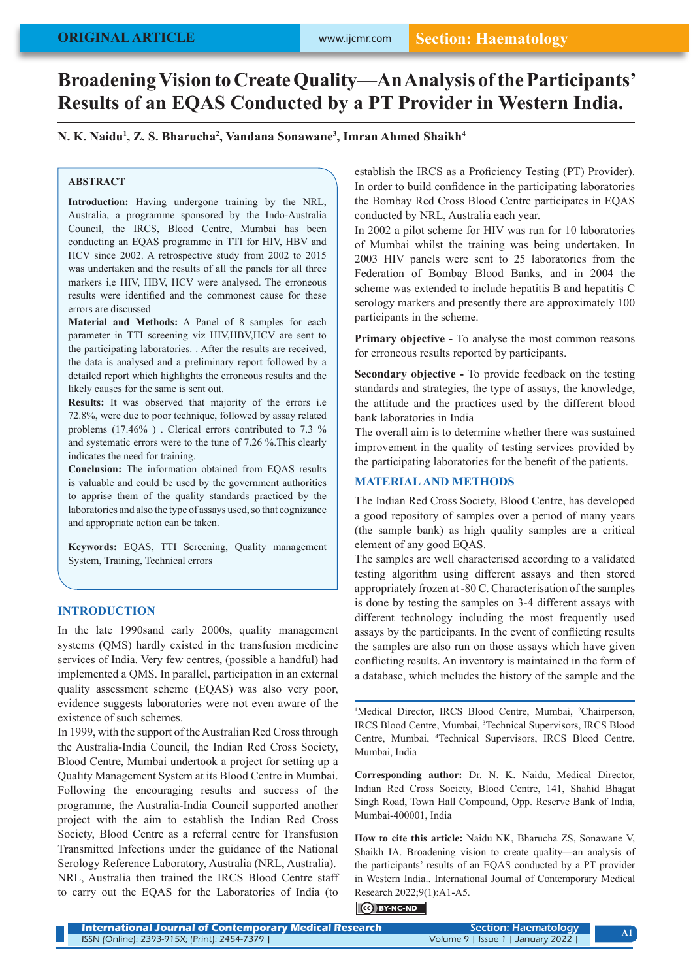# **Broadening Vision to Create Quality—An Analysis of the Participants' Results of an EQAS Conducted by a PT Provider in Western India.**

**N. K. Naidu1 , Z. S. Bharucha2 , Vandana Sonawane3 , Imran Ahmed Shaikh4**

### **ABSTRACT**

**Introduction:** Having undergone training by the NRL, Australia, a programme sponsored by the Indo-Australia Council, the IRCS, Blood Centre, Mumbai has been conducting an EQAS programme in TTI for HIV, HBV and HCV since 2002. A retrospective study from 2002 to 2015 was undertaken and the results of all the panels for all three markers i,e HIV, HBV, HCV were analysed. The erroneous results were identified and the commonest cause for these errors are discussed

**Material and Methods:** A Panel of 8 samples for each parameter in TTI screening viz HIV,HBV,HCV are sent to the participating laboratories. . After the results are received, the data is analysed and a preliminary report followed by a detailed report which highlights the erroneous results and the likely causes for the same is sent out.

**Results:** It was observed that majority of the errors i.e 72.8%, were due to poor technique, followed by assay related problems (17.46% ) . Clerical errors contributed to 7.3 % and systematic errors were to the tune of 7.26 %.This clearly indicates the need for training.

**Conclusion:** The information obtained from EQAS results is valuable and could be used by the government authorities to apprise them of the quality standards practiced by the laboratories and also the type of assays used, so that cognizance and appropriate action can be taken.

**Keywords:** EQAS, TTI Screening, Quality management System, Training, Technical errors

### **INTRODUCTION**

In the late 1990sand early 2000s, quality management systems (QMS) hardly existed in the transfusion medicine services of India. Very few centres, (possible a handful) had implemented a QMS. In parallel, participation in an external quality assessment scheme (EQAS) was also very poor, evidence suggests laboratories were not even aware of the existence of such schemes.

In 1999, with the support of the Australian Red Cross through the Australia-India Council, the Indian Red Cross Society, Blood Centre, Mumbai undertook a project for setting up a Quality Management System at its Blood Centre in Mumbai. Following the encouraging results and success of the programme, the Australia-India Council supported another project with the aim to establish the Indian Red Cross Society, Blood Centre as a referral centre for Transfusion Transmitted Infections under the guidance of the National Serology Reference Laboratory, Australia (NRL, Australia). NRL, Australia then trained the IRCS Blood Centre staff to carry out the EQAS for the Laboratories of India (to

establish the IRCS as a Proficiency Testing (PT) Provider). In order to build confidence in the participating laboratories the Bombay Red Cross Blood Centre participates in EQAS conducted by NRL, Australia each year.

In 2002 a pilot scheme for HIV was run for 10 laboratories of Mumbai whilst the training was being undertaken. In 2003 HIV panels were sent to 25 laboratories from the Federation of Bombay Blood Banks, and in 2004 the scheme was extended to include hepatitis B and hepatitis C serology markers and presently there are approximately 100 participants in the scheme.

**Primary objective -** To analyse the most common reasons for erroneous results reported by participants.

**Secondary objective -** To provide feedback on the testing standards and strategies, the type of assays, the knowledge, the attitude and the practices used by the different blood bank laboratories in India

The overall aim is to determine whether there was sustained improvement in the quality of testing services provided by the participating laboratories for the benefit of the patients.

# **MATERIAL AND METHODS**

The Indian Red Cross Society, Blood Centre, has developed a good repository of samples over a period of many years (the sample bank) as high quality samples are a critical element of any good EQAS.

The samples are well characterised according to a validated testing algorithm using different assays and then stored appropriately frozen at -80 C. Characterisation of the samples is done by testing the samples on 3-4 different assays with different technology including the most frequently used assays by the participants. In the event of conflicting results the samples are also run on those assays which have given conflicting results. An inventory is maintained in the form of a database, which includes the history of the sample and the

<sup>1</sup>Medical Director, IRCS Blood Centre, Mumbai, <sup>2</sup>Chairperson, IRCS Blood Centre, Mumbai, 3 Technical Supervisors, IRCS Blood Centre, Mumbai, 4 Technical Supervisors, IRCS Blood Centre, Mumbai, India

**Corresponding author:** Dr. N. K. Naidu, Medical Director, Indian Red Cross Society, Blood Centre, 141, Shahid Bhagat Singh Road, Town Hall Compound, Opp. Reserve Bank of India, Mumbai-400001, India

**How to cite this article:** Naidu NK, Bharucha ZS, Sonawane V, Shaikh IA. Broadening vision to create quality—an analysis of the participants' results of an EQAS conducted by a PT provider in Western India.. International Journal of Contemporary Medical Research 2022;9(1):A1-A5.

### BY-NC-ND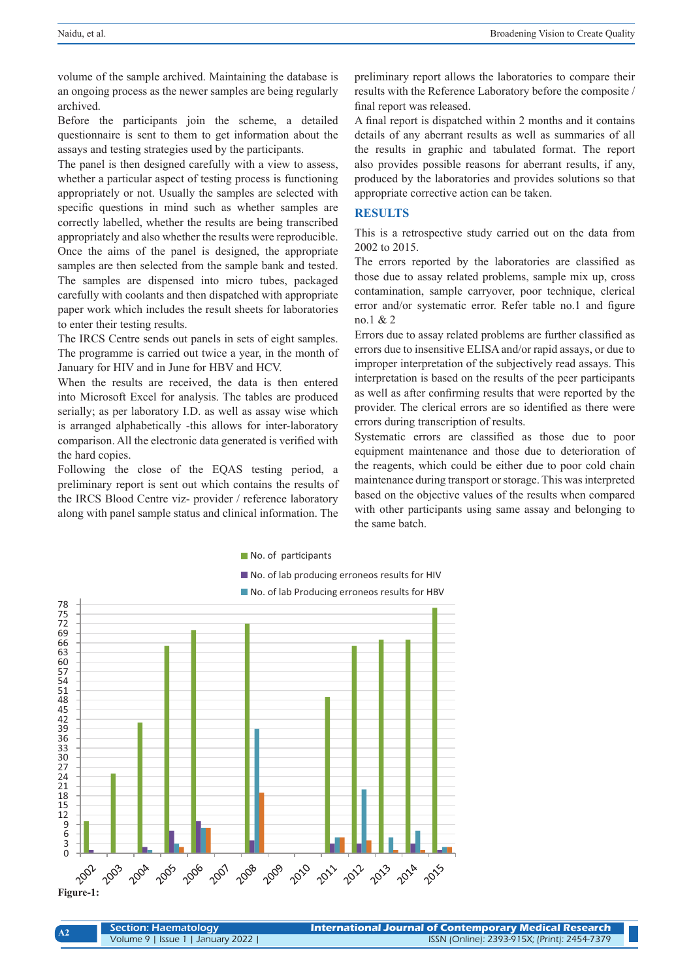**A2**

volume of the sample archived. Maintaining the database is an ongoing process as the newer samples are being regularly archived.

Before the participants join the scheme, a detailed questionnaire is sent to them to get information about the assays and testing strategies used by the participants.

The panel is then designed carefully with a view to assess, whether a particular aspect of testing process is functioning appropriately or not. Usually the samples are selected with specific questions in mind such as whether samples are correctly labelled, whether the results are being transcribed appropriately and also whether the results were reproducible. Once the aims of the panel is designed, the appropriate samples are then selected from the sample bank and tested. The samples are dispensed into micro tubes, packaged carefully with coolants and then dispatched with appropriate paper work which includes the result sheets for laboratories to enter their testing results.

The IRCS Centre sends out panels in sets of eight samples. The programme is carried out twice a year, in the month of January for HIV and in June for HBV and HCV.

When the results are received, the data is then entered into Microsoft Excel for analysis. The tables are produced serially; as per laboratory I.D. as well as assay wise which is arranged alphabetically -this allows for inter-laboratory comparison. All the electronic data generated is verified with the hard copies.

Following the close of the EQAS testing period, a preliminary report is sent out which contains the results of the IRCS Blood Centre viz- provider / reference laboratory along with panel sample status and clinical information. The

preliminary report allows the laboratories to compare their results with the Reference Laboratory before the composite / final report was released.

A final report is dispatched within 2 months and it contains details of any aberrant results as well as summaries of all the results in graphic and tabulated format. The report also provides possible reasons for aberrant results, if any, produced by the laboratories and provides solutions so that appropriate corrective action can be taken.

#### **RESULTS**

This is a retrospective study carried out on the data from 2002 to 2015.

The errors reported by the laboratories are classified as those due to assay related problems, sample mix up, cross contamination, sample carryover, poor technique, clerical error and/or systematic error. Refer table no.1 and figure no.1 & 2

Errors due to assay related problems are further classified as errors due to insensitive ELISA and/or rapid assays, or due to improper interpretation of the subjectively read assays. This interpretation is based on the results of the peer participants as well as after confirming results that were reported by the provider. The clerical errors are so identified as there were errors during transcription of results.

Systematic errors are classified as those due to poor equipment maintenance and those due to deterioration of the reagents, which could be either due to poor cold chain maintenance during transport or storage. This was interpreted based on the objective values of the results when compared with other participants using same assay and belonging to the same batch.



| Section: Haematology              | International Journal of Contemporary Medical Research |  |  |  |  |
|-----------------------------------|--------------------------------------------------------|--|--|--|--|
| Volume 9   Issue 1   January 2022 | ISSN (Online): 2393-915X; (Print): 2454-7379           |  |  |  |  |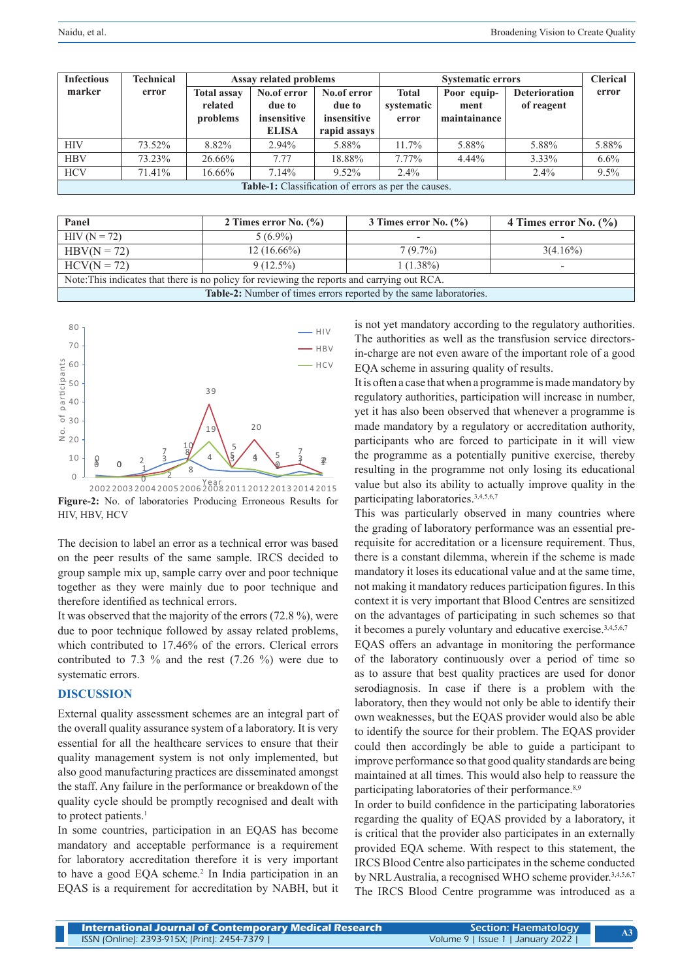| <b>Infectious</b>                                           | <b>Technical</b> | <b>Assay related problems</b>             |                                                      |                                                      | <b>Systematic errors</b>            |                                     |                                    | <b>Clerical</b> |
|-------------------------------------------------------------|------------------|-------------------------------------------|------------------------------------------------------|------------------------------------------------------|-------------------------------------|-------------------------------------|------------------------------------|-----------------|
| marker                                                      | error            | <b>Total assay</b><br>related<br>problems | No.of error<br>due to<br>insensitive<br><b>ELISA</b> | No.of error<br>due to<br>insensitive<br>rapid assays | <b>Total</b><br>systematic<br>error | Poor equip-<br>ment<br>maintainance | <b>Deterioration</b><br>of reagent | error           |
| <b>HIV</b>                                                  | 73.52%           | 8.82%                                     | 2.94%                                                | 5.88%                                                | $11.7\%$                            | 5.88%                               | 5.88%                              | 5.88%           |
| <b>HBV</b>                                                  | 73.23%           | 26.66%                                    | 7.77                                                 | 18.88%                                               | $7.77\%$                            | $4.44\%$                            | 3.33%                              | $6.6\%$         |
| <b>HCV</b>                                                  | 71.41%           | 16.66%                                    | $7.14\%$                                             | $9.52\%$                                             | $2.4\%$                             |                                     | $2.4\%$                            | $9.5\%$         |
| <b>Table-1:</b> Classification of errors as per the causes. |                  |                                           |                                                      |                                                      |                                     |                                     |                                    |                 |

| Panel                                                                                        | 2 Times error No. $(\% )$ | 3 Times error No. $(\% )$ | 4 Times error No. $(\%$ ) |  |  |  |  |
|----------------------------------------------------------------------------------------------|---------------------------|---------------------------|---------------------------|--|--|--|--|
| $HIV (N = 72)$                                                                               | $5(6.9\%)$                |                           |                           |  |  |  |  |
| $HBV(N = 72)$                                                                                | $12(16.66\%)$             | $7(9.7\%)$                | $3(4.16\%)$               |  |  |  |  |
| $HCV(N = 72)$                                                                                | $9(12.5\%)$               | $1(1.38\%)$               | -                         |  |  |  |  |
| Note: This indicates that there is no policy for reviewing the reports and carrying out RCA. |                           |                           |                           |  |  |  |  |
| Table-2: Number of times errors reported by the same laboratories.                           |                           |                           |                           |  |  |  |  |



**Figure-2:** No. of laboratories Producing Erroneous Results for HIV, HBV, HCV

The decision to label an error as a technical error was based on the peer results of the same sample. IRCS decided to group sample mix up, sample carry over and poor technique together as they were mainly due to poor technique and therefore identified as technical errors.

It was observed that the majority of the errors (72.8 %), were due to poor technique followed by assay related problems, which contributed to 17.46% of the errors. Clerical errors contributed to 7.3  $\%$  and the rest (7.26  $\%$ ) were due to systematic errors.

#### **DISCUSSION**

External quality assessment schemes are an integral part of the overall quality assurance system of a laboratory. It is very essential for all the healthcare services to ensure that their quality management system is not only implemented, but also good manufacturing practices are disseminated amongst the staff. Any failure in the performance or breakdown of the quality cycle should be promptly recognised and dealt with to protect patients.<sup>1</sup>

In some countries, participation in an EQAS has become mandatory and acceptable performance is a requirement for laboratory accreditation therefore it is very important to have a good EQA scheme.<sup>2</sup> In India participation in an EQAS is a requirement for accreditation by NABH, but it

is not yet mandatory according to the regulatory authorities. The authorities as well as the transfusion service directorsin-charge are not even aware of the important role of a good EQA scheme in assuring quality of results.

It is often a case that when a programme is made mandatory by regulatory authorities, participation will increase in number, yet it has also been observed that whenever a programme is made mandatory by a regulatory or accreditation authority, participants who are forced to participate in it will view the programme as a potentially punitive exercise, thereby resulting in the programme not only losing its educational value but also its ability to actually improve quality in the participating laboratories.<sup>3,4,5,6,7</sup>

This was particularly observed in many countries where the grading of laboratory performance was an essential prerequisite for accreditation or a licensure requirement. Thus, there is a constant dilemma, wherein if the scheme is made mandatory it loses its educational value and at the same time, not making it mandatory reduces participation figures. In this context it is very important that Blood Centres are sensitized on the advantages of participating in such schemes so that it becomes a purely voluntary and educative exercise.3,4,5,6,7

EQAS offers an advantage in monitoring the performance of the laboratory continuously over a period of time so as to assure that best quality practices are used for donor serodiagnosis. In case if there is a problem with the laboratory, then they would not only be able to identify their own weaknesses, but the EQAS provider would also be able to identify the source for their problem. The EQAS provider could then accordingly be able to guide a participant to improve performance so that good quality standards are being maintained at all times. This would also help to reassure the participating laboratories of their performance.<sup>8,9</sup>

In order to build confidence in the participating laboratories regarding the quality of EQAS provided by a laboratory, it is critical that the provider also participates in an externally provided EQA scheme. With respect to this statement, the IRCS Blood Centre also participates in the scheme conducted by NRL Australia, a recognised WHO scheme provider.<sup>3,4,5,6,7</sup> The IRCS Blood Centre programme was introduced as a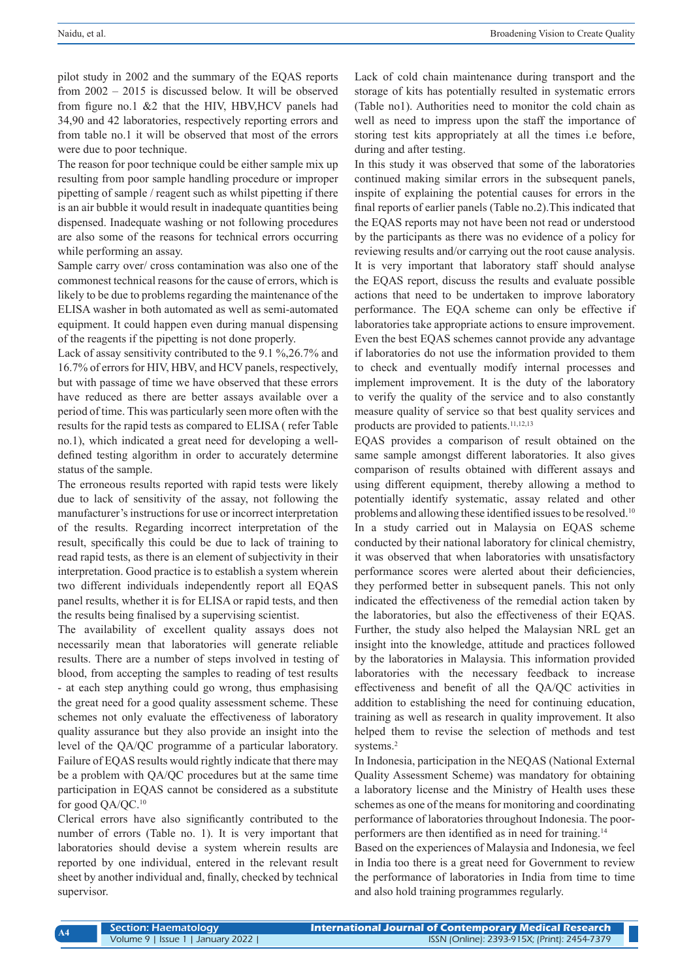pilot study in 2002 and the summary of the EQAS reports from 2002 – 2015 is discussed below. It will be observed from figure no.1 &2 that the HIV, HBV,HCV panels had 34,90 and 42 laboratories, respectively reporting errors and from table no.1 it will be observed that most of the errors were due to poor technique.

The reason for poor technique could be either sample mix up resulting from poor sample handling procedure or improper pipetting of sample / reagent such as whilst pipetting if there is an air bubble it would result in inadequate quantities being dispensed. Inadequate washing or not following procedures are also some of the reasons for technical errors occurring while performing an assay.

Sample carry over/ cross contamination was also one of the commonest technical reasons for the cause of errors, which is likely to be due to problems regarding the maintenance of the ELISA washer in both automated as well as semi-automated equipment. It could happen even during manual dispensing of the reagents if the pipetting is not done properly.

Lack of assay sensitivity contributed to the 9.1 %,26.7% and 16.7% of errors for HIV, HBV, and HCV panels, respectively, but with passage of time we have observed that these errors have reduced as there are better assays available over a period of time. This was particularly seen more often with the results for the rapid tests as compared to ELISA ( refer Table no.1), which indicated a great need for developing a welldefined testing algorithm in order to accurately determine status of the sample.

The erroneous results reported with rapid tests were likely due to lack of sensitivity of the assay, not following the manufacturer's instructions for use or incorrect interpretation of the results. Regarding incorrect interpretation of the result, specifically this could be due to lack of training to read rapid tests, as there is an element of subjectivity in their interpretation. Good practice is to establish a system wherein two different individuals independently report all EQAS panel results, whether it is for ELISA or rapid tests, and then the results being finalised by a supervising scientist.

The availability of excellent quality assays does not necessarily mean that laboratories will generate reliable results. There are a number of steps involved in testing of blood, from accepting the samples to reading of test results - at each step anything could go wrong, thus emphasising the great need for a good quality assessment scheme. These schemes not only evaluate the effectiveness of laboratory quality assurance but they also provide an insight into the level of the QA/QC programme of a particular laboratory. Failure of EQAS results would rightly indicate that there may be a problem with QA/QC procedures but at the same time participation in EQAS cannot be considered as a substitute for good QA/QC.10

Clerical errors have also significantly contributed to the number of errors (Table no. 1). It is very important that laboratories should devise a system wherein results are reported by one individual, entered in the relevant result sheet by another individual and, finally, checked by technical supervisor.

Lack of cold chain maintenance during transport and the storage of kits has potentially resulted in systematic errors (Table no1). Authorities need to monitor the cold chain as well as need to impress upon the staff the importance of storing test kits appropriately at all the times i.e before, during and after testing.

In this study it was observed that some of the laboratories continued making similar errors in the subsequent panels, inspite of explaining the potential causes for errors in the final reports of earlier panels (Table no.2).This indicated that the EQAS reports may not have been not read or understood by the participants as there was no evidence of a policy for reviewing results and/or carrying out the root cause analysis. It is very important that laboratory staff should analyse the EQAS report, discuss the results and evaluate possible actions that need to be undertaken to improve laboratory performance. The EQA scheme can only be effective if laboratories take appropriate actions to ensure improvement. Even the best EQAS schemes cannot provide any advantage if laboratories do not use the information provided to them to check and eventually modify internal processes and implement improvement. It is the duty of the laboratory to verify the quality of the service and to also constantly measure quality of service so that best quality services and products are provided to patients.<sup>11,12,13</sup>

EQAS provides a comparison of result obtained on the same sample amongst different laboratories. It also gives comparison of results obtained with different assays and using different equipment, thereby allowing a method to potentially identify systematic, assay related and other problems and allowing these identified issues to be resolved.<sup>10</sup> In a study carried out in Malaysia on EQAS scheme conducted by their national laboratory for clinical chemistry, it was observed that when laboratories with unsatisfactory performance scores were alerted about their deficiencies, they performed better in subsequent panels. This not only indicated the effectiveness of the remedial action taken by the laboratories, but also the effectiveness of their EQAS. Further, the study also helped the Malaysian NRL get an insight into the knowledge, attitude and practices followed by the laboratories in Malaysia. This information provided laboratories with the necessary feedback to increase effectiveness and benefit of all the QA/QC activities in addition to establishing the need for continuing education, training as well as research in quality improvement. It also helped them to revise the selection of methods and test systems.<sup>2</sup>

In Indonesia, participation in the NEQAS (National External Quality Assessment Scheme) was mandatory for obtaining a laboratory license and the Ministry of Health uses these schemes as one of the means for monitoring and coordinating performance of laboratories throughout Indonesia. The poorperformers are then identified as in need for training.<sup>14</sup>

Based on the experiences of Malaysia and Indonesia, we feel in India too there is a great need for Government to review the performance of laboratories in India from time to time and also hold training programmes regularly.

**A4**